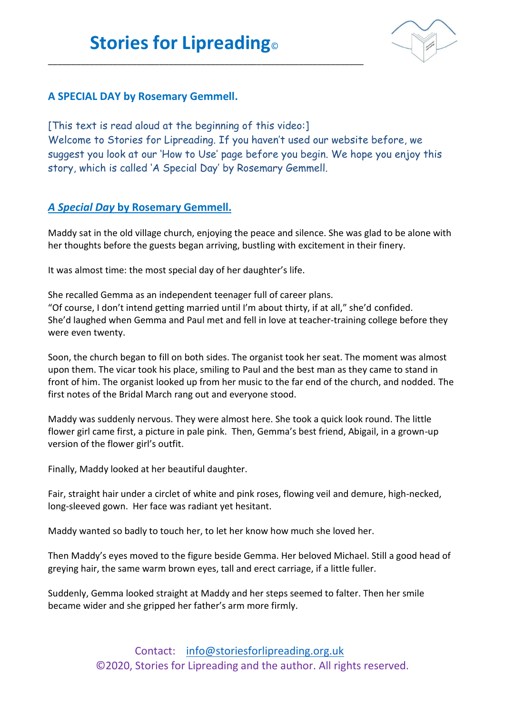\_\_\_\_\_\_\_\_\_\_\_\_\_\_\_\_\_\_\_\_\_\_\_\_\_\_\_\_\_\_\_\_\_\_\_\_\_\_\_\_\_\_\_\_\_\_\_\_\_\_\_\_\_\_\_\_\_\_\_\_\_\_\_\_\_\_\_\_



## **A SPECIAL DAY by Rosemary Gemmell.**

[This text is read aloud at the beginning of this video:] Welcome to Stories for Lipreading. If you haven't used our website before, we suggest you look at our 'How to Use' page before you begin. We hope you enjoy this story, which is called 'A Special Day' by Rosemary Gemmell.

## *A Special Day* **by Rosemary Gemmell.**

Maddy sat in the old village church, enjoying the peace and silence. She was glad to be alone with her thoughts before the guests began arriving, bustling with excitement in their finery.

It was almost time: the most special day of her daughter's life.

She recalled Gemma as an independent teenager full of career plans. "Of course, I don't intend getting married until I'm about thirty, if at all," she'd confided. She'd laughed when Gemma and Paul met and fell in love at teacher-training college before they were even twenty.

Soon, the church began to fill on both sides. The organist took her seat. The moment was almost upon them. The vicar took his place, smiling to Paul and the best man as they came to stand in front of him. The organist looked up from her music to the far end of the church, and nodded. The first notes of the Bridal March rang out and everyone stood.

Maddy was suddenly nervous. They were almost here. She took a quick look round. The little flower girl came first, a picture in pale pink. Then, Gemma's best friend, Abigail, in a grown-up version of the flower girl's outfit.

Finally, Maddy looked at her beautiful daughter.

Fair, straight hair under a circlet of white and pink roses, flowing veil and demure, high-necked, long-sleeved gown. Her face was radiant yet hesitant.

Maddy wanted so badly to touch her, to let her know how much she loved her.

Then Maddy's eyes moved to the figure beside Gemma. Her beloved Michael. Still a good head of greying hair, the same warm brown eyes, tall and erect carriage, if a little fuller.

Suddenly, Gemma looked straight at Maddy and her steps seemed to falter. Then her smile became wider and she gripped her father's arm more firmly.